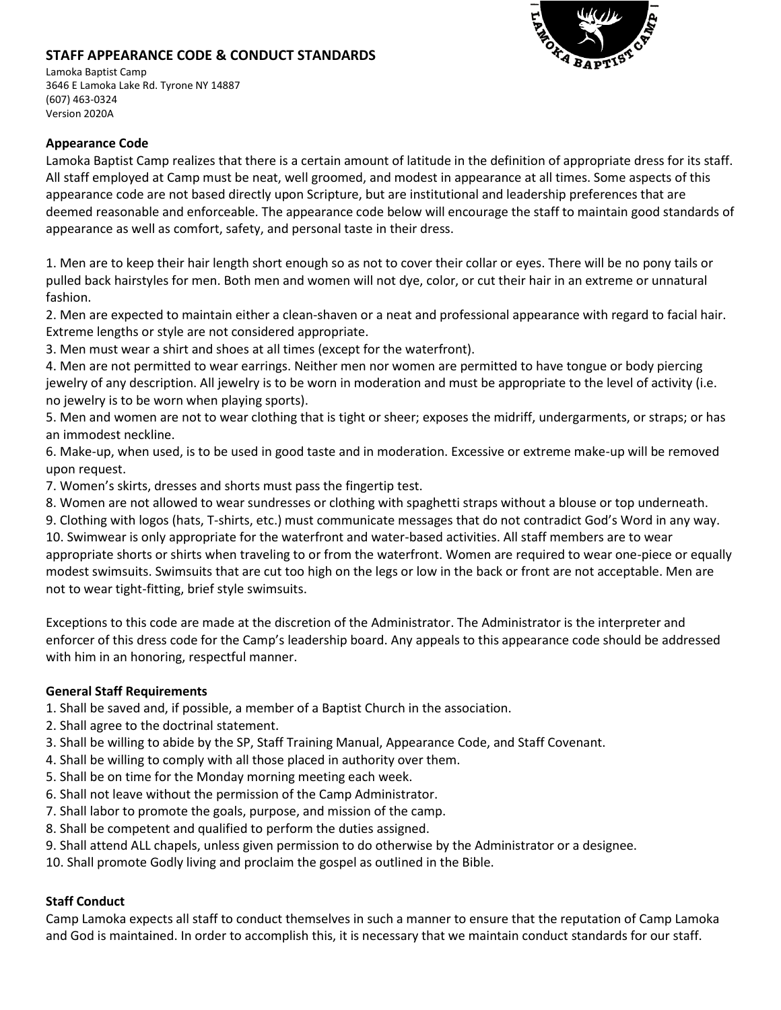## **STAFF APPEARANCE CODE & CONDUCT STANDARDS**



Lamoka Baptist Camp 3646 E Lamoka Lake Rd. Tyrone NY 14887 (607) 463-0324 Version 2020A

## **Appearance Code**

Lamoka Baptist Camp realizes that there is a certain amount of latitude in the definition of appropriate dress for its staff. All staff employed at Camp must be neat, well groomed, and modest in appearance at all times. Some aspects of this appearance code are not based directly upon Scripture, but are institutional and leadership preferences that are deemed reasonable and enforceable. The appearance code below will encourage the staff to maintain good standards of appearance as well as comfort, safety, and personal taste in their dress.

1. Men are to keep their hair length short enough so as not to cover their collar or eyes. There will be no pony tails or pulled back hairstyles for men. Both men and women will not dye, color, or cut their hair in an extreme or unnatural fashion.

2. Men are expected to maintain either a clean-shaven or a neat and professional appearance with regard to facial hair. Extreme lengths or style are not considered appropriate.

3. Men must wear a shirt and shoes at all times (except for the waterfront).

4. Men are not permitted to wear earrings. Neither men nor women are permitted to have tongue or body piercing jewelry of any description. All jewelry is to be worn in moderation and must be appropriate to the level of activity (i.e. no jewelry is to be worn when playing sports).

5. Men and women are not to wear clothing that is tight or sheer; exposes the midriff, undergarments, or straps; or has an immodest neckline.

6. Make-up, when used, is to be used in good taste and in moderation. Excessive or extreme make-up will be removed upon request.

7. Women's skirts, dresses and shorts must pass the fingertip test.

8. Women are not allowed to wear sundresses or clothing with spaghetti straps without a blouse or top underneath.

9. Clothing with logos (hats, T-shirts, etc.) must communicate messages that do not contradict God's Word in any way. 10. Swimwear is only appropriate for the waterfront and water-based activities. All staff members are to wear appropriate shorts or shirts when traveling to or from the waterfront. Women are required to wear one-piece or equally modest swimsuits. Swimsuits that are cut too high on the legs or low in the back or front are not acceptable. Men are not to wear tight-fitting, brief style swimsuits.

Exceptions to this code are made at the discretion of the Administrator. The Administrator is the interpreter and enforcer of this dress code for the Camp's leadership board. Any appeals to this appearance code should be addressed with him in an honoring, respectful manner.

## **General Staff Requirements**

1. Shall be saved and, if possible, a member of a Baptist Church in the association.

- 2. Shall agree to the doctrinal statement.
- 3. Shall be willing to abide by the SP, Staff Training Manual, Appearance Code, and Staff Covenant.
- 4. Shall be willing to comply with all those placed in authority over them.
- 5. Shall be on time for the Monday morning meeting each week.
- 6. Shall not leave without the permission of the Camp Administrator.
- 7. Shall labor to promote the goals, purpose, and mission of the camp.
- 8. Shall be competent and qualified to perform the duties assigned.
- 9. Shall attend ALL chapels, unless given permission to do otherwise by the Administrator or a designee.
- 10. Shall promote Godly living and proclaim the gospel as outlined in the Bible.

## **Staff Conduct**

Camp Lamoka expects all staff to conduct themselves in such a manner to ensure that the reputation of Camp Lamoka and God is maintained. In order to accomplish this, it is necessary that we maintain conduct standards for our staff.